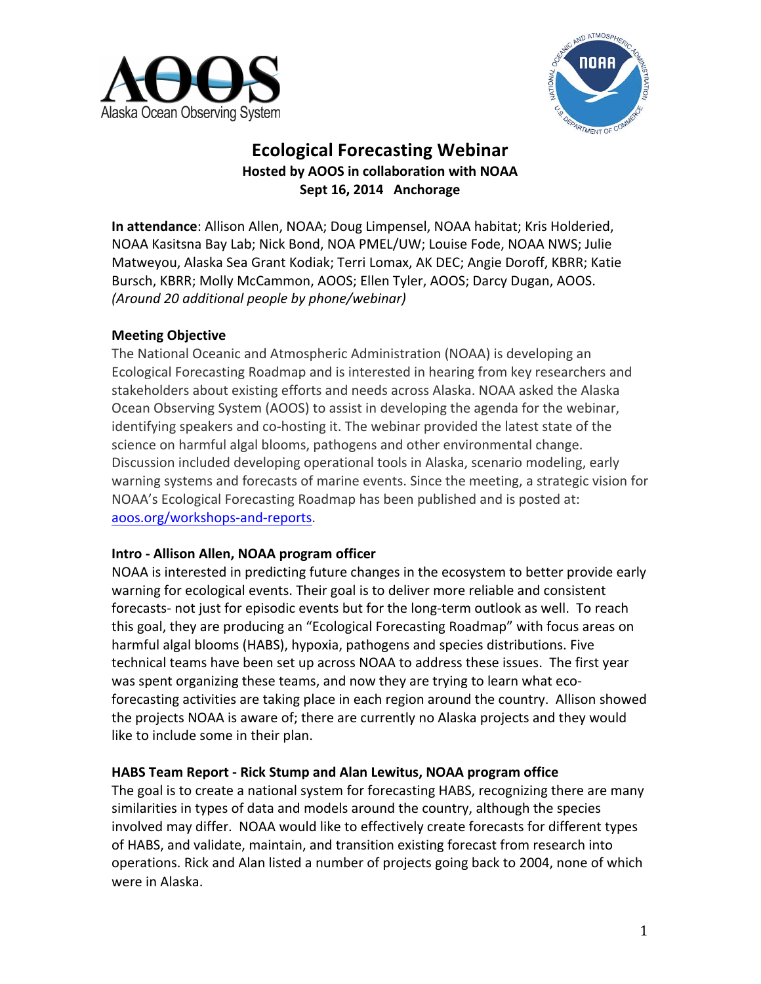



# **Ecological Forecasting Webinar Hosted by AOOS in collaboration with NOAA** Sept 16, 2014 Anchorage

**In attendance**: Allison Allen, NOAA; Doug Limpensel, NOAA habitat; Kris Holderied, NOAA Kasitsna Bay Lab; Nick Bond, NOA PMEL/UW; Louise Fode, NOAA NWS; Julie Matweyou, Alaska Sea Grant Kodiak; Terri Lomax, AK DEC; Angie Doroff, KBRR; Katie Bursch, KBRR; Molly McCammon, AOOS; Ellen Tyler, AOOS; Darcy Dugan, AOOS. *(Around 20 additional people by phone/webinar)*

## **Meeting Objective**

The National Oceanic and Atmospheric Administration (NOAA) is developing an Ecological Forecasting Roadmap and is interested in hearing from key researchers and stakeholders about existing efforts and needs across Alaska. NOAA asked the Alaska Ocean Observing System (AOOS) to assist in developing the agenda for the webinar, identifying speakers and co-hosting it. The webinar provided the latest state of the science on harmful algal blooms, pathogens and other environmental change. Discussion included developing operational tools in Alaska, scenario modeling, early warning systems and forecasts of marine events. Since the meeting, a strategic vision for NOAA's Ecological Forecasting Roadmap has been published and is posted at: aoos.org/workshops-and-reports. 

#### **Intro - Allison Allen, NOAA program officer**

NOAA is interested in predicting future changes in the ecosystem to better provide early warning for ecological events. Their goal is to deliver more reliable and consistent forecasts- not just for episodic events but for the long-term outlook as well. To reach this goal, they are producing an "Ecological Forecasting Roadmap" with focus areas on harmful algal blooms (HABS), hypoxia, pathogens and species distributions. Five technical teams have been set up across NOAA to address these issues. The first year was spent organizing these teams, and now they are trying to learn what ecoforecasting activities are taking place in each region around the country. Allison showed the projects NOAA is aware of; there are currently no Alaska projects and they would like to include some in their plan.

#### **HABS Team Report - Rick Stump and Alan Lewitus, NOAA program office**

The goal is to create a national system for forecasting HABS, recognizing there are many similarities in types of data and models around the country, although the species involved may differ. NOAA would like to effectively create forecasts for different types of HABS, and validate, maintain, and transition existing forecast from research into operations. Rick and Alan listed a number of projects going back to 2004, none of which were in Alaska.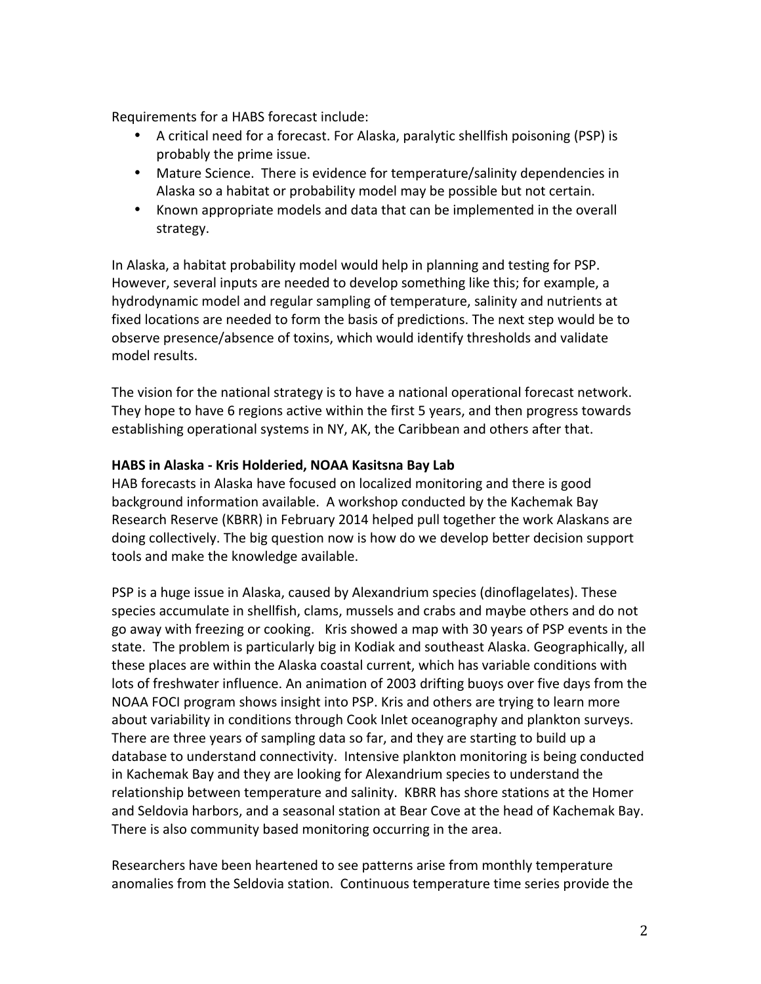Requirements for a HABS forecast include:

- A critical need for a forecast. For Alaska, paralytic shellfish poisoning (PSP) is probably the prime issue.
- Mature Science. There is evidence for temperature/salinity dependencies in Alaska so a habitat or probability model may be possible but not certain.
- Known appropriate models and data that can be implemented in the overall strategy.

In Alaska, a habitat probability model would help in planning and testing for PSP. However, several inputs are needed to develop something like this; for example, a hydrodynamic model and regular sampling of temperature, salinity and nutrients at fixed locations are needed to form the basis of predictions. The next step would be to observe presence/absence of toxins, which would identify thresholds and validate model results.

The vision for the national strategy is to have a national operational forecast network. They hope to have 6 regions active within the first 5 years, and then progress towards establishing operational systems in NY, AK, the Caribbean and others after that.

## **HABS in Alaska - Kris Holderied, NOAA Kasitsna Bay Lab**

HAB forecasts in Alaska have focused on localized monitoring and there is good background information available. A workshop conducted by the Kachemak Bay Research Reserve (KBRR) in February 2014 helped pull together the work Alaskans are doing collectively. The big question now is how do we develop better decision support tools and make the knowledge available.

PSP is a huge issue in Alaska, caused by Alexandrium species (dinoflagelates). These species accumulate in shellfish, clams, mussels and crabs and maybe others and do not go away with freezing or cooking. Kris showed a map with 30 years of PSP events in the state. The problem is particularly big in Kodiak and southeast Alaska. Geographically, all these places are within the Alaska coastal current, which has variable conditions with lots of freshwater influence. An animation of 2003 drifting buoys over five days from the NOAA FOCI program shows insight into PSP. Kris and others are trying to learn more about variability in conditions through Cook Inlet oceanography and plankton surveys. There are three years of sampling data so far, and they are starting to build up a database to understand connectivity. Intensive plankton monitoring is being conducted in Kachemak Bay and they are looking for Alexandrium species to understand the relationship between temperature and salinity. KBRR has shore stations at the Homer and Seldovia harbors, and a seasonal station at Bear Cove at the head of Kachemak Bay. There is also community based monitoring occurring in the area.

Researchers have been heartened to see patterns arise from monthly temperature anomalies from the Seldovia station. Continuous temperature time series provide the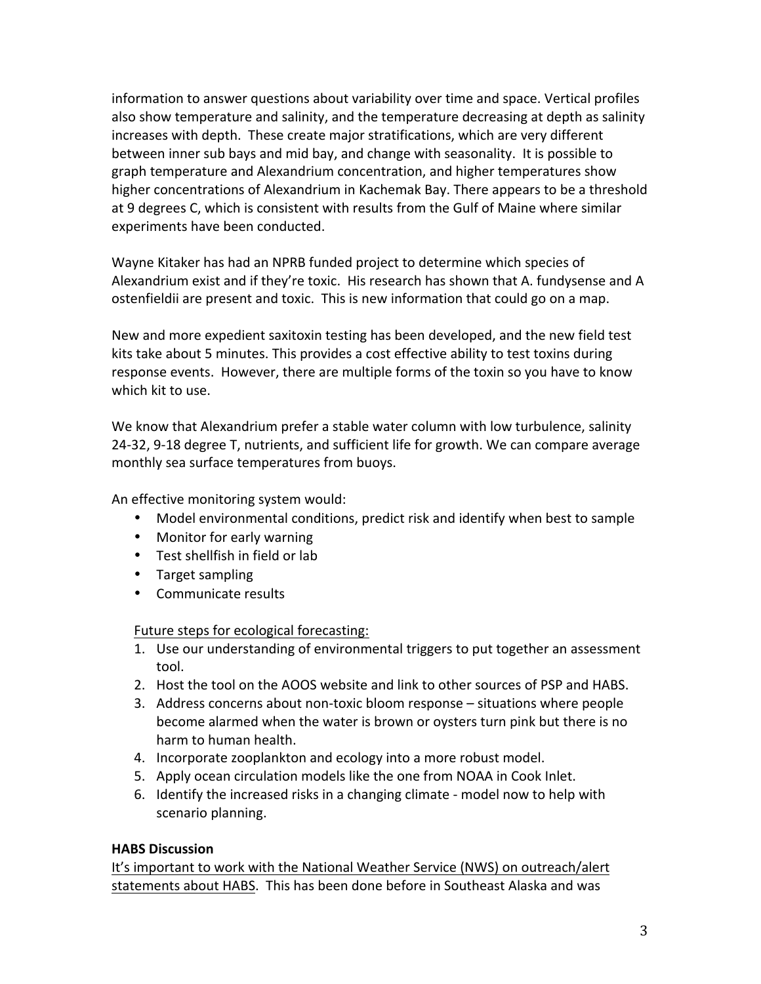information to answer questions about variability over time and space. Vertical profiles also show temperature and salinity, and the temperature decreasing at depth as salinity increases with depth. These create major stratifications, which are very different between inner sub bays and mid bay, and change with seasonality. It is possible to graph temperature and Alexandrium concentration, and higher temperatures show higher concentrations of Alexandrium in Kachemak Bay. There appears to be a threshold at 9 degrees C, which is consistent with results from the Gulf of Maine where similar experiments have been conducted.

Wayne Kitaker has had an NPRB funded project to determine which species of Alexandrium exist and if they're toxic. His research has shown that A. fundysense and A ostenfieldii are present and toxic. This is new information that could go on a map.

New and more expedient saxitoxin testing has been developed, and the new field test kits take about 5 minutes. This provides a cost effective ability to test toxins during response events. However, there are multiple forms of the toxin so you have to know which kit to use.

We know that Alexandrium prefer a stable water column with low turbulence, salinity 24-32, 9-18 degree T, nutrients, and sufficient life for growth. We can compare average monthly sea surface temperatures from buoys.

An effective monitoring system would:

- Model environmental conditions, predict risk and identify when best to sample
- Monitor for early warning
- Test shellfish in field or lab
- Target sampling
- Communicate results

Future steps for ecological forecasting:

- 1. Use our understanding of environmental triggers to put together an assessment tool.
- 2. Host the tool on the AOOS website and link to other sources of PSP and HABS.
- 3. Address concerns about non-toxic bloom response situations where people become alarmed when the water is brown or oysters turn pink but there is no harm to human health.
- 4. Incorporate zooplankton and ecology into a more robust model.
- 5. Apply ocean circulation models like the one from NOAA in Cook Inlet.
- 6. Identify the increased risks in a changing climate model now to help with scenario planning.

## **HABS Discussion**

It's important to work with the National Weather Service (NWS) on outreach/alert statements about HABS. This has been done before in Southeast Alaska and was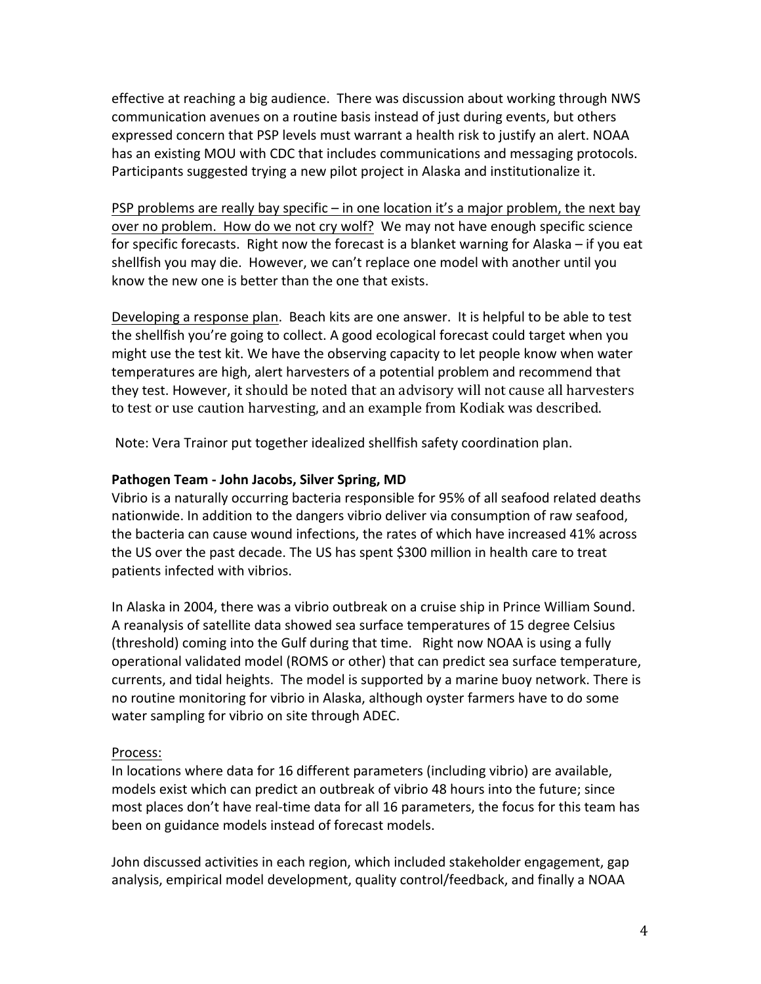effective at reaching a big audience. There was discussion about working through NWS communication avenues on a routine basis instead of just during events, but others expressed concern that PSP levels must warrant a health risk to justify an alert. NOAA has an existing MOU with CDC that includes communications and messaging protocols. Participants suggested trying a new pilot project in Alaska and institutionalize it.

PSP problems are really bay specific – in one location it's a major problem, the next bay over no problem. How do we not cry wolf? We may not have enough specific science for specific forecasts. Right now the forecast is a blanket warning for Alaska  $-$  if you eat shellfish you may die. However, we can't replace one model with another until you know the new one is better than the one that exists.

Developing a response plan. Beach kits are one answer. It is helpful to be able to test the shellfish you're going to collect. A good ecological forecast could target when you might use the test kit. We have the observing capacity to let people know when water temperatures are high, alert harvesters of a potential problem and recommend that they test. However, it should be noted that an advisory will not cause all harvesters to test or use caution harvesting, and an example from Kodiak was described.

Note: Vera Trainor put together idealized shellfish safety coordination plan.

## Pathogen Team - John Jacobs, Silver Spring, MD

Vibrio is a naturally occurring bacteria responsible for 95% of all seafood related deaths nationwide. In addition to the dangers vibrio deliver via consumption of raw seafood, the bacteria can cause wound infections, the rates of which have increased 41% across the US over the past decade. The US has spent \$300 million in health care to treat patients infected with vibrios.

In Alaska in 2004, there was a vibrio outbreak on a cruise ship in Prince William Sound. A reanalysis of satellite data showed sea surface temperatures of 15 degree Celsius (threshold) coming into the Gulf during that time. Right now NOAA is using a fully operational validated model (ROMS or other) that can predict sea surface temperature, currents, and tidal heights. The model is supported by a marine buoy network. There is no routine monitoring for vibrio in Alaska, although oyster farmers have to do some water sampling for vibrio on site through ADEC.

## Process:

In locations where data for 16 different parameters (including vibrio) are available, models exist which can predict an outbreak of vibrio 48 hours into the future; since most places don't have real-time data for all 16 parameters, the focus for this team has been on guidance models instead of forecast models.

John discussed activities in each region, which included stakeholder engagement, gap analysis, empirical model development, quality control/feedback, and finally a NOAA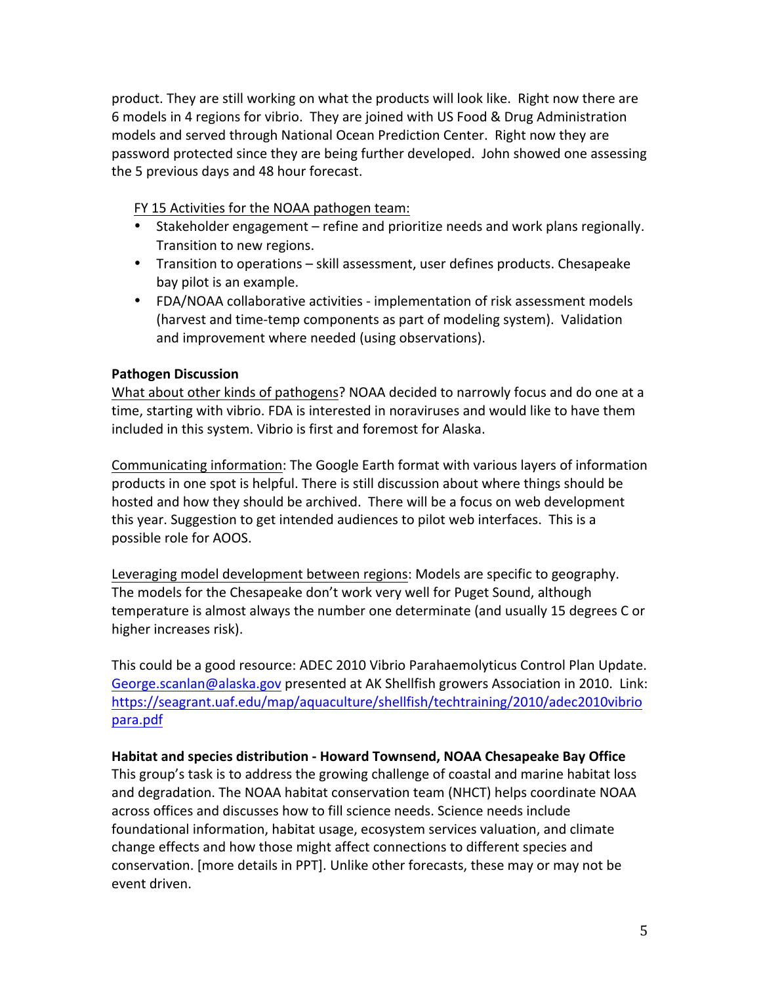product. They are still working on what the products will look like. Right now there are 6 models in 4 regions for vibrio. They are joined with US Food & Drug Administration models and served through National Ocean Prediction Center. Right now they are password protected since they are being further developed. John showed one assessing the 5 previous days and 48 hour forecast.

FY 15 Activities for the NOAA pathogen team:

- Stakeholder engagement refine and prioritize needs and work plans regionally. Transition to new regions.
- Transition to operations skill assessment, user defines products. Chesapeake bay pilot is an example.
- FDA/NOAA collaborative activities implementation of risk assessment models (harvest and time-temp components as part of modeling system). Validation and improvement where needed (using observations).

## **Pathogen Discussion**

What about other kinds of pathogens? NOAA decided to narrowly focus and do one at a time, starting with vibrio. FDA is interested in noraviruses and would like to have them included in this system. Vibrio is first and foremost for Alaska.

Communicating information: The Google Earth format with various layers of information products in one spot is helpful. There is still discussion about where things should be hosted and how they should be archived. There will be a focus on web development this year. Suggestion to get intended audiences to pilot web interfaces. This is a possible role for AOOS.

Leveraging model development between regions: Models are specific to geography. The models for the Chesapeake don't work very well for Puget Sound, although temperature is almost always the number one determinate (and usually 15 degrees C or higher increases risk).

This could be a good resource: ADEC 2010 Vibrio Parahaemolyticus Control Plan Update. George.scanlan@alaska.gov presented at AK Shellfish growers Association in 2010. Link: https://seagrant.uaf.edu/map/aquaculture/shellfish/techtraining/2010/adec2010vibrio para.pdf

## **Habitat and species distribution - Howard Townsend, NOAA Chesapeake Bay Office**

This group's task is to address the growing challenge of coastal and marine habitat loss and degradation. The NOAA habitat conservation team (NHCT) helps coordinate NOAA across offices and discusses how to fill science needs. Science needs include foundational information, habitat usage, ecosystem services valuation, and climate change effects and how those might affect connections to different species and conservation. [more details in PPT]. Unlike other forecasts, these may or may not be event driven.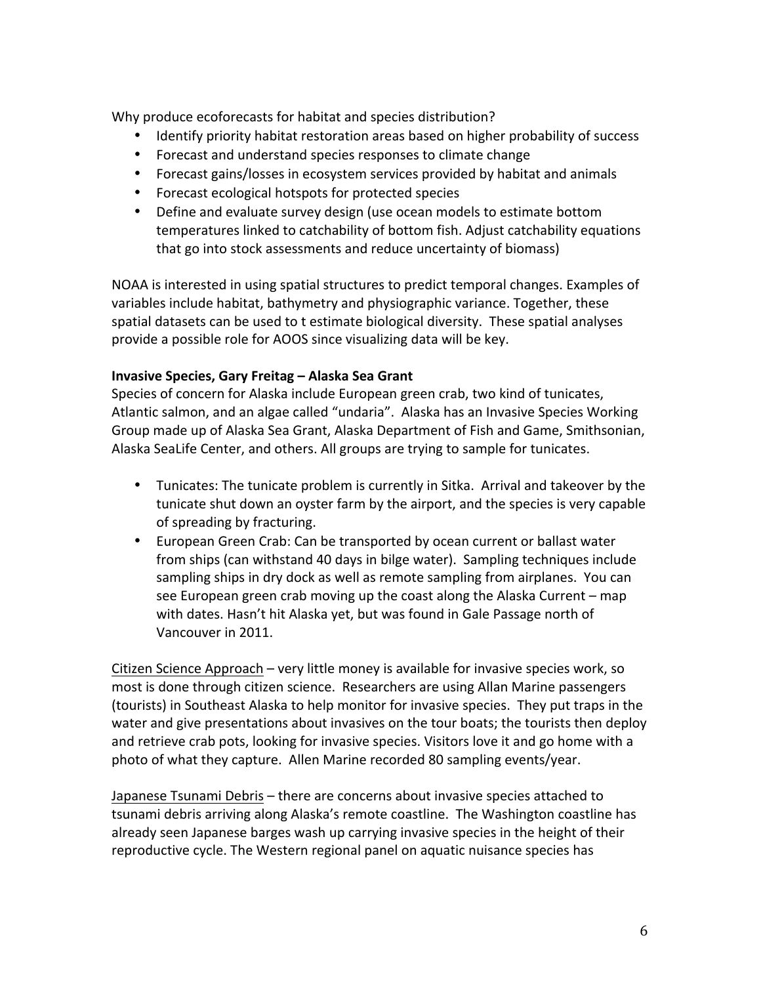Why produce ecoforecasts for habitat and species distribution?

- Identify priority habitat restoration areas based on higher probability of success
- Forecast and understand species responses to climate change
- Forecast gains/losses in ecosystem services provided by habitat and animals
- Forecast ecological hotspots for protected species
- Define and evaluate survey design (use ocean models to estimate bottom temperatures linked to catchability of bottom fish. Adjust catchability equations that go into stock assessments and reduce uncertainty of biomass)

NOAA is interested in using spatial structures to predict temporal changes. Examples of variables include habitat, bathymetry and physiographic variance. Together, these spatial datasets can be used to t estimate biological diversity. These spatial analyses provide a possible role for AOOS since visualizing data will be key.

# **Invasive Species, Gary Freitag – Alaska Sea Grant**

Species of concern for Alaska include European green crab, two kind of tunicates, Atlantic salmon, and an algae called "undaria". Alaska has an Invasive Species Working Group made up of Alaska Sea Grant, Alaska Department of Fish and Game, Smithsonian, Alaska SeaLife Center, and others. All groups are trying to sample for tunicates.

- Tunicates: The tunicate problem is currently in Sitka. Arrival and takeover by the tunicate shut down an oyster farm by the airport, and the species is very capable of spreading by fracturing.
- European Green Crab: Can be transported by ocean current or ballast water from ships (can withstand 40 days in bilge water). Sampling techniques include sampling ships in dry dock as well as remote sampling from airplanes. You can see European green crab moving up the coast along the Alaska Current – map with dates. Hasn't hit Alaska yet, but was found in Gale Passage north of Vancouver in 2011.

Citizen Science Approach – very little money is available for invasive species work, so most is done through citizen science. Researchers are using Allan Marine passengers (tourists) in Southeast Alaska to help monitor for invasive species. They put traps in the water and give presentations about invasives on the tour boats; the tourists then deploy and retrieve crab pots, looking for invasive species. Visitors love it and go home with a photo of what they capture. Allen Marine recorded 80 sampling events/year.

Japanese Tsunami Debris - there are concerns about invasive species attached to tsunami debris arriving along Alaska's remote coastline. The Washington coastline has already seen Japanese barges wash up carrying invasive species in the height of their reproductive cycle. The Western regional panel on aquatic nuisance species has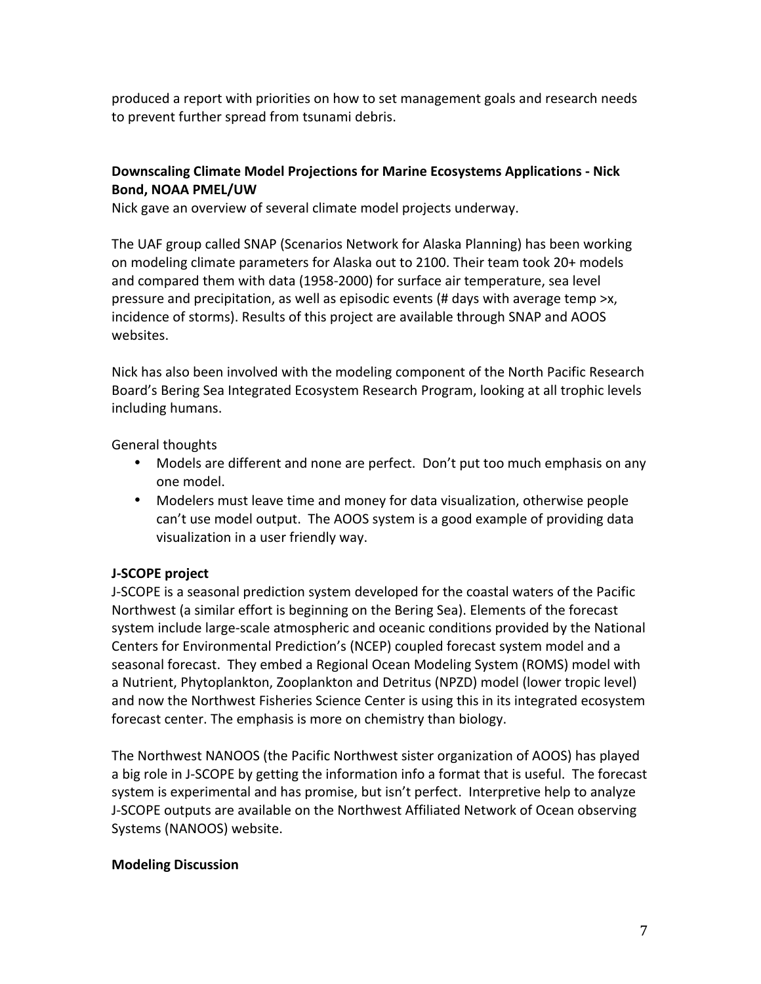produced a report with priorities on how to set management goals and research needs to prevent further spread from tsunami debris.

# **Downscaling Climate Model Projections for Marine Ecosystems Applications - Nick Bond, NOAA PMEL/UW**

Nick gave an overview of several climate model projects underway.

The UAF group called SNAP (Scenarios Network for Alaska Planning) has been working on modeling climate parameters for Alaska out to 2100. Their team took 20+ models and compared them with data (1958-2000) for surface air temperature, sea level pressure and precipitation, as well as episodic events  $#$  days with average temp  $\geq x$ , incidence of storms). Results of this project are available through SNAP and AOOS websites. 

Nick has also been involved with the modeling component of the North Pacific Research Board's Bering Sea Integrated Ecosystem Research Program, looking at all trophic levels including humans.

General thoughts

- Models are different and none are perfect. Don't put too much emphasis on any one model.
- Modelers must leave time and money for data visualization, otherwise people can't use model output. The AOOS system is a good example of providing data visualization in a user friendly way.

## **J-SCOPE** project

J-SCOPE is a seasonal prediction system developed for the coastal waters of the Pacific Northwest (a similar effort is beginning on the Bering Sea). Elements of the forecast system include large-scale atmospheric and oceanic conditions provided by the National Centers for Environmental Prediction's (NCEP) coupled forecast system model and a seasonal forecast. They embed a Regional Ocean Modeling System (ROMS) model with a Nutrient, Phytoplankton, Zooplankton and Detritus (NPZD) model (lower tropic level) and now the Northwest Fisheries Science Center is using this in its integrated ecosystem forecast center. The emphasis is more on chemistry than biology.

The Northwest NANOOS (the Pacific Northwest sister organization of AOOS) has played a big role in J-SCOPE by getting the information info a format that is useful. The forecast system is experimental and has promise, but isn't perfect. Interpretive help to analyze J-SCOPE outputs are available on the Northwest Affiliated Network of Ocean observing Systems (NANOOS) website.

## **Modeling Discussion**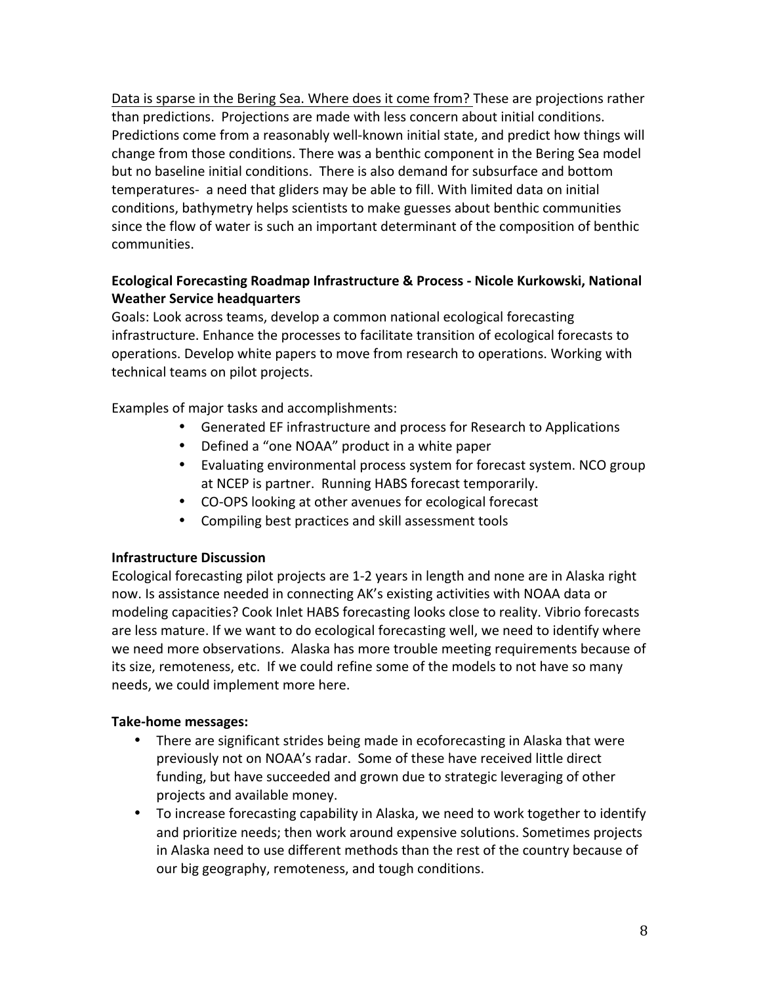Data is sparse in the Bering Sea. Where does it come from? These are projections rather than predictions. Projections are made with less concern about initial conditions. Predictions come from a reasonably well-known initial state, and predict how things will change from those conditions. There was a benthic component in the Bering Sea model but no baseline initial conditions. There is also demand for subsurface and bottom temperatures- a need that gliders may be able to fill. With limited data on initial conditions, bathymetry helps scientists to make guesses about benthic communities since the flow of water is such an important determinant of the composition of benthic communities.

# **Ecological Forecasting Roadmap Infrastructure & Process - Nicole Kurkowski, National Weather Service headquarters**

Goals: Look across teams, develop a common national ecological forecasting infrastructure. Enhance the processes to facilitate transition of ecological forecasts to operations. Develop white papers to move from research to operations. Working with technical teams on pilot projects.

Examples of major tasks and accomplishments:

- Generated EF infrastructure and process for Research to Applications
- Defined a "one NOAA" product in a white paper
- Evaluating environmental process system for forecast system. NCO group at NCEP is partner. Running HABS forecast temporarily.
- CO-OPS looking at other avenues for ecological forecast
- Compiling best practices and skill assessment tools

## **Infrastructure Discussion**

Ecological forecasting pilot projects are 1-2 years in length and none are in Alaska right now. Is assistance needed in connecting AK's existing activities with NOAA data or modeling capacities? Cook Inlet HABS forecasting looks close to reality. Vibrio forecasts are less mature. If we want to do ecological forecasting well, we need to identify where we need more observations. Alaska has more trouble meeting requirements because of its size, remoteness, etc. If we could refine some of the models to not have so many needs, we could implement more here.

## **Take-home messages:**

- There are significant strides being made in ecoforecasting in Alaska that were previously not on NOAA's radar. Some of these have received little direct funding, but have succeeded and grown due to strategic leveraging of other projects and available money.
- To increase forecasting capability in Alaska, we need to work together to identify and prioritize needs; then work around expensive solutions. Sometimes projects in Alaska need to use different methods than the rest of the country because of our big geography, remoteness, and tough conditions.